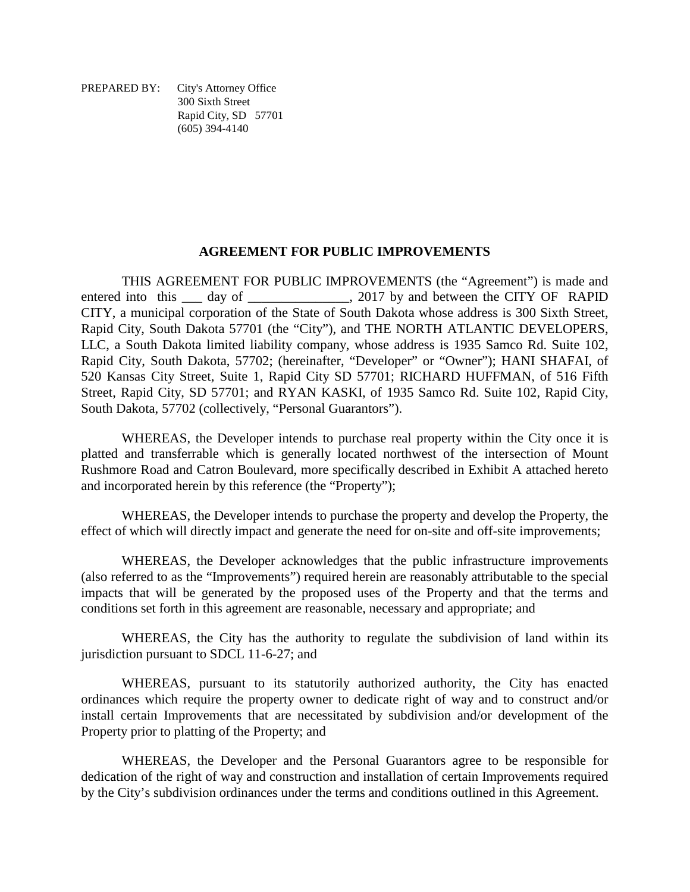PREPARED BY: City's Attorney Office 300 Sixth Street Rapid City, SD 57701 (605) 394-4140

#### **AGREEMENT FOR PUBLIC IMPROVEMENTS**

THIS AGREEMENT FOR PUBLIC IMPROVEMENTS (the "Agreement") is made and entered into this \_\_\_ day of \_\_\_\_\_\_\_\_\_\_\_\_\_\_, 2017 by and between the CITY OF RAPID CITY, a municipal corporation of the State of South Dakota whose address is 300 Sixth Street, Rapid City, South Dakota 57701 (the "City"), and THE NORTH ATLANTIC DEVELOPERS, LLC, a South Dakota limited liability company, whose address is 1935 Samco Rd. Suite 102, Rapid City, South Dakota, 57702; (hereinafter, "Developer" or "Owner"); HANI SHAFAI, of 520 Kansas City Street, Suite 1, Rapid City SD 57701; RICHARD HUFFMAN, of 516 Fifth Street, Rapid City, SD 57701; and RYAN KASKI, of 1935 Samco Rd. Suite 102, Rapid City, South Dakota, 57702 (collectively, "Personal Guarantors").

WHEREAS, the Developer intends to purchase real property within the City once it is platted and transferrable which is generally located northwest of the intersection of Mount Rushmore Road and Catron Boulevard, more specifically described in Exhibit A attached hereto and incorporated herein by this reference (the "Property");

WHEREAS, the Developer intends to purchase the property and develop the Property, the effect of which will directly impact and generate the need for on-site and off-site improvements;

WHEREAS, the Developer acknowledges that the public infrastructure improvements (also referred to as the "Improvements") required herein are reasonably attributable to the special impacts that will be generated by the proposed uses of the Property and that the terms and conditions set forth in this agreement are reasonable, necessary and appropriate; and

WHEREAS, the City has the authority to regulate the subdivision of land within its jurisdiction pursuant to SDCL 11-6-27; and

WHEREAS, pursuant to its statutorily authorized authority, the City has enacted ordinances which require the property owner to dedicate right of way and to construct and/or install certain Improvements that are necessitated by subdivision and/or development of the Property prior to platting of the Property; and

WHEREAS, the Developer and the Personal Guarantors agree to be responsible for dedication of the right of way and construction and installation of certain Improvements required by the City's subdivision ordinances under the terms and conditions outlined in this Agreement.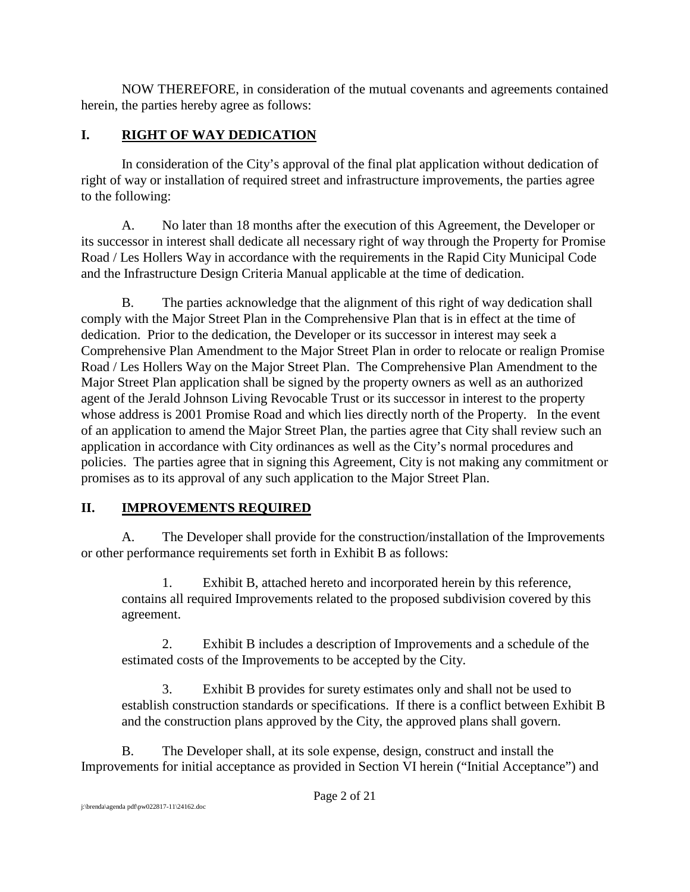NOW THEREFORE, in consideration of the mutual covenants and agreements contained herein, the parties hereby agree as follows:

# **I. RIGHT OF WAY DEDICATION**

In consideration of the City's approval of the final plat application without dedication of right of way or installation of required street and infrastructure improvements, the parties agree to the following:

A. No later than 18 months after the execution of this Agreement, the Developer or its successor in interest shall dedicate all necessary right of way through the Property for Promise Road / Les Hollers Way in accordance with the requirements in the Rapid City Municipal Code and the Infrastructure Design Criteria Manual applicable at the time of dedication.

B. The parties acknowledge that the alignment of this right of way dedication shall comply with the Major Street Plan in the Comprehensive Plan that is in effect at the time of dedication. Prior to the dedication, the Developer or its successor in interest may seek a Comprehensive Plan Amendment to the Major Street Plan in order to relocate or realign Promise Road / Les Hollers Way on the Major Street Plan. The Comprehensive Plan Amendment to the Major Street Plan application shall be signed by the property owners as well as an authorized agent of the Jerald Johnson Living Revocable Trust or its successor in interest to the property whose address is 2001 Promise Road and which lies directly north of the Property. In the event of an application to amend the Major Street Plan, the parties agree that City shall review such an application in accordance with City ordinances as well as the City's normal procedures and policies. The parties agree that in signing this Agreement, City is not making any commitment or promises as to its approval of any such application to the Major Street Plan.

### **II. IMPROVEMENTS REQUIRED**

A. The Developer shall provide for the construction/installation of the Improvements or other performance requirements set forth in Exhibit B as follows:

1. Exhibit B, attached hereto and incorporated herein by this reference, contains all required Improvements related to the proposed subdivision covered by this agreement.

2. Exhibit B includes a description of Improvements and a schedule of the estimated costs of the Improvements to be accepted by the City.

3. Exhibit B provides for surety estimates only and shall not be used to establish construction standards or specifications. If there is a conflict between Exhibit B and the construction plans approved by the City, the approved plans shall govern.

B. The Developer shall, at its sole expense, design, construct and install the Improvements for initial acceptance as provided in Section VI herein ("Initial Acceptance") and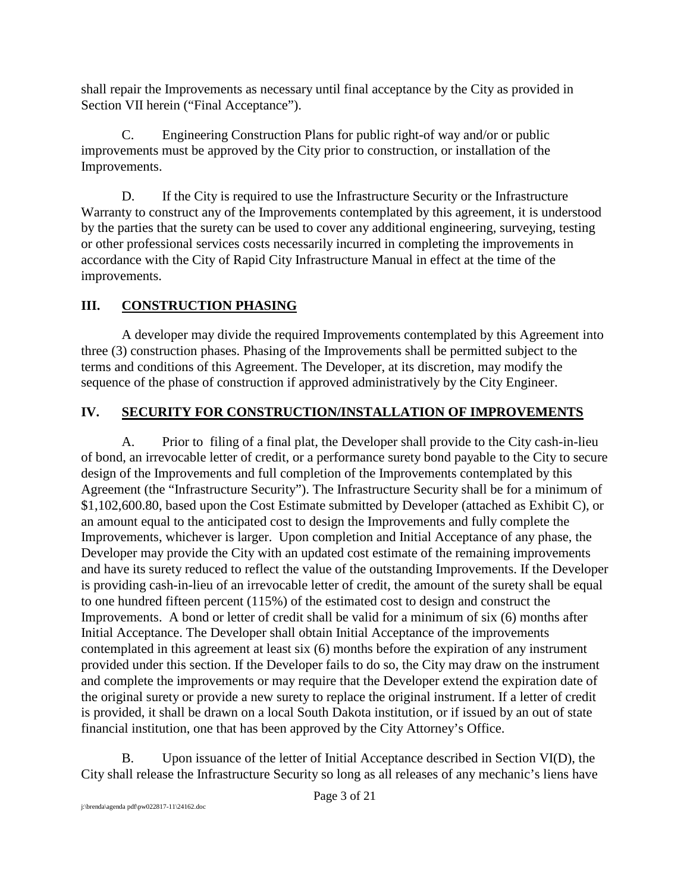shall repair the Improvements as necessary until final acceptance by the City as provided in Section VII herein ("Final Acceptance").

C. Engineering Construction Plans for public right-of way and/or or public improvements must be approved by the City prior to construction, or installation of the Improvements.

D. If the City is required to use the Infrastructure Security or the Infrastructure Warranty to construct any of the Improvements contemplated by this agreement, it is understood by the parties that the surety can be used to cover any additional engineering, surveying, testing or other professional services costs necessarily incurred in completing the improvements in accordance with the City of Rapid City Infrastructure Manual in effect at the time of the improvements.

# **III. CONSTRUCTION PHASING**

A developer may divide the required Improvements contemplated by this Agreement into three (3) construction phases. Phasing of the Improvements shall be permitted subject to the terms and conditions of this Agreement. The Developer, at its discretion, may modify the sequence of the phase of construction if approved administratively by the City Engineer.

# **IV. SECURITY FOR CONSTRUCTION/INSTALLATION OF IMPROVEMENTS**

A. Prior to filing of a final plat, the Developer shall provide to the City cash-in-lieu of bond, an irrevocable letter of credit, or a performance surety bond payable to the City to secure design of the Improvements and full completion of the Improvements contemplated by this Agreement (the "Infrastructure Security"). The Infrastructure Security shall be for a minimum of \$1,102,600.80, based upon the Cost Estimate submitted by Developer (attached as Exhibit C), or an amount equal to the anticipated cost to design the Improvements and fully complete the Improvements, whichever is larger. Upon completion and Initial Acceptance of any phase, the Developer may provide the City with an updated cost estimate of the remaining improvements and have its surety reduced to reflect the value of the outstanding Improvements. If the Developer is providing cash-in-lieu of an irrevocable letter of credit, the amount of the surety shall be equal to one hundred fifteen percent (115%) of the estimated cost to design and construct the Improvements. A bond or letter of credit shall be valid for a minimum of six (6) months after Initial Acceptance. The Developer shall obtain Initial Acceptance of the improvements contemplated in this agreement at least six (6) months before the expiration of any instrument provided under this section. If the Developer fails to do so, the City may draw on the instrument and complete the improvements or may require that the Developer extend the expiration date of the original surety or provide a new surety to replace the original instrument. If a letter of credit is provided, it shall be drawn on a local South Dakota institution, or if issued by an out of state financial institution, one that has been approved by the City Attorney's Office.

B. Upon issuance of the letter of Initial Acceptance described in Section VI(D), the City shall release the Infrastructure Security so long as all releases of any mechanic's liens have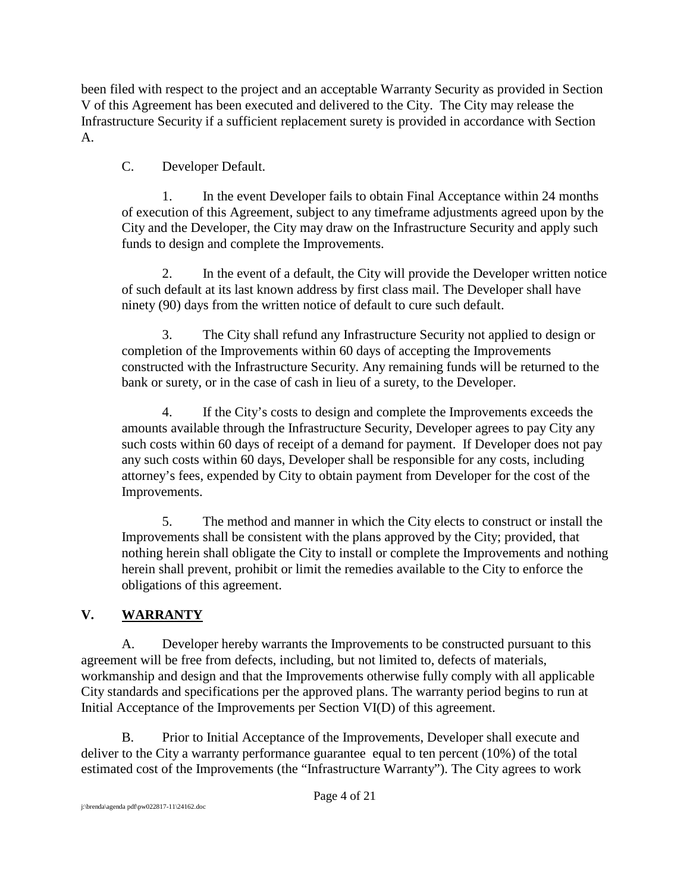been filed with respect to the project and an acceptable Warranty Security as provided in Section V of this Agreement has been executed and delivered to the City. The City may release the Infrastructure Security if a sufficient replacement surety is provided in accordance with Section A.

C. Developer Default.

1. In the event Developer fails to obtain Final Acceptance within 24 months of execution of this Agreement, subject to any timeframe adjustments agreed upon by the City and the Developer, the City may draw on the Infrastructure Security and apply such funds to design and complete the Improvements.

2. In the event of a default, the City will provide the Developer written notice of such default at its last known address by first class mail. The Developer shall have ninety (90) days from the written notice of default to cure such default.

3. The City shall refund any Infrastructure Security not applied to design or completion of the Improvements within 60 days of accepting the Improvements constructed with the Infrastructure Security. Any remaining funds will be returned to the bank or surety, or in the case of cash in lieu of a surety, to the Developer.

4. If the City's costs to design and complete the Improvements exceeds the amounts available through the Infrastructure Security, Developer agrees to pay City any such costs within 60 days of receipt of a demand for payment. If Developer does not pay any such costs within 60 days, Developer shall be responsible for any costs, including attorney's fees, expended by City to obtain payment from Developer for the cost of the Improvements.

5. The method and manner in which the City elects to construct or install the Improvements shall be consistent with the plans approved by the City; provided, that nothing herein shall obligate the City to install or complete the Improvements and nothing herein shall prevent, prohibit or limit the remedies available to the City to enforce the obligations of this agreement.

# **V. WARRANTY**

A. Developer hereby warrants the Improvements to be constructed pursuant to this agreement will be free from defects, including, but not limited to, defects of materials, workmanship and design and that the Improvements otherwise fully comply with all applicable City standards and specifications per the approved plans. The warranty period begins to run at Initial Acceptance of the Improvements per Section VI(D) of this agreement.

B. Prior to Initial Acceptance of the Improvements, Developer shall execute and deliver to the City a warranty performance guarantee equal to ten percent (10%) of the total estimated cost of the Improvements (the "Infrastructure Warranty"). The City agrees to work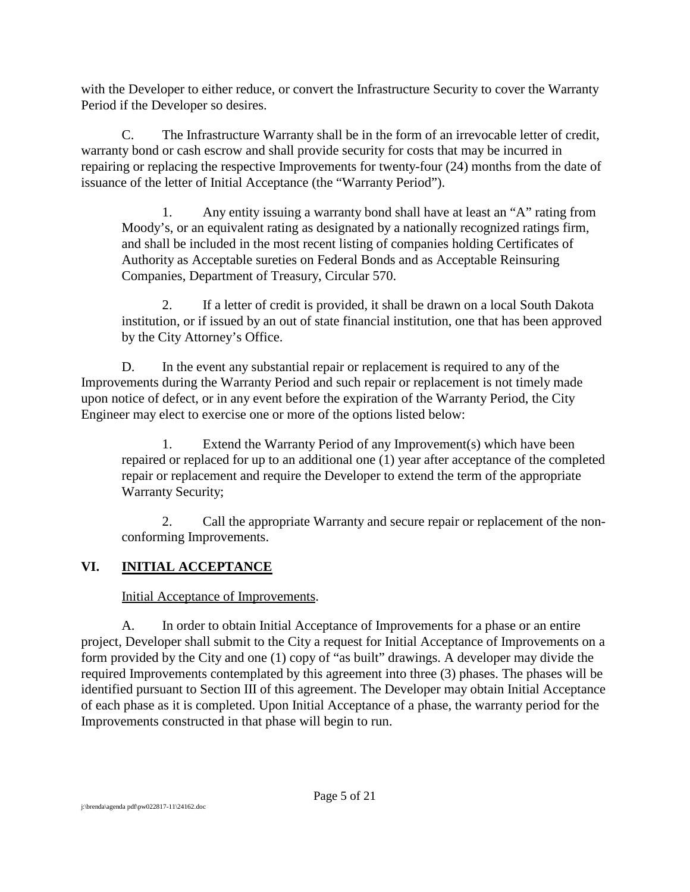with the Developer to either reduce, or convert the Infrastructure Security to cover the Warranty Period if the Developer so desires.

C. The Infrastructure Warranty shall be in the form of an irrevocable letter of credit, warranty bond or cash escrow and shall provide security for costs that may be incurred in repairing or replacing the respective Improvements for twenty-four (24) months from the date of issuance of the letter of Initial Acceptance (the "Warranty Period").

1. Any entity issuing a warranty bond shall have at least an "A" rating from Moody's, or an equivalent rating as designated by a nationally recognized ratings firm, and shall be included in the most recent listing of companies holding Certificates of Authority as Acceptable sureties on Federal Bonds and as Acceptable Reinsuring Companies, Department of Treasury, Circular 570.

2. If a letter of credit is provided, it shall be drawn on a local South Dakota institution, or if issued by an out of state financial institution, one that has been approved by the City Attorney's Office.

D. In the event any substantial repair or replacement is required to any of the Improvements during the Warranty Period and such repair or replacement is not timely made upon notice of defect, or in any event before the expiration of the Warranty Period, the City Engineer may elect to exercise one or more of the options listed below:

1. Extend the Warranty Period of any Improvement(s) which have been repaired or replaced for up to an additional one (1) year after acceptance of the completed repair or replacement and require the Developer to extend the term of the appropriate Warranty Security;

2. Call the appropriate Warranty and secure repair or replacement of the nonconforming Improvements.

# **VI. INITIAL ACCEPTANCE**

Initial Acceptance of Improvements.

A. In order to obtain Initial Acceptance of Improvements for a phase or an entire project, Developer shall submit to the City a request for Initial Acceptance of Improvements on a form provided by the City and one (1) copy of "as built" drawings. A developer may divide the required Improvements contemplated by this agreement into three (3) phases. The phases will be identified pursuant to Section III of this agreement. The Developer may obtain Initial Acceptance of each phase as it is completed. Upon Initial Acceptance of a phase, the warranty period for the Improvements constructed in that phase will begin to run.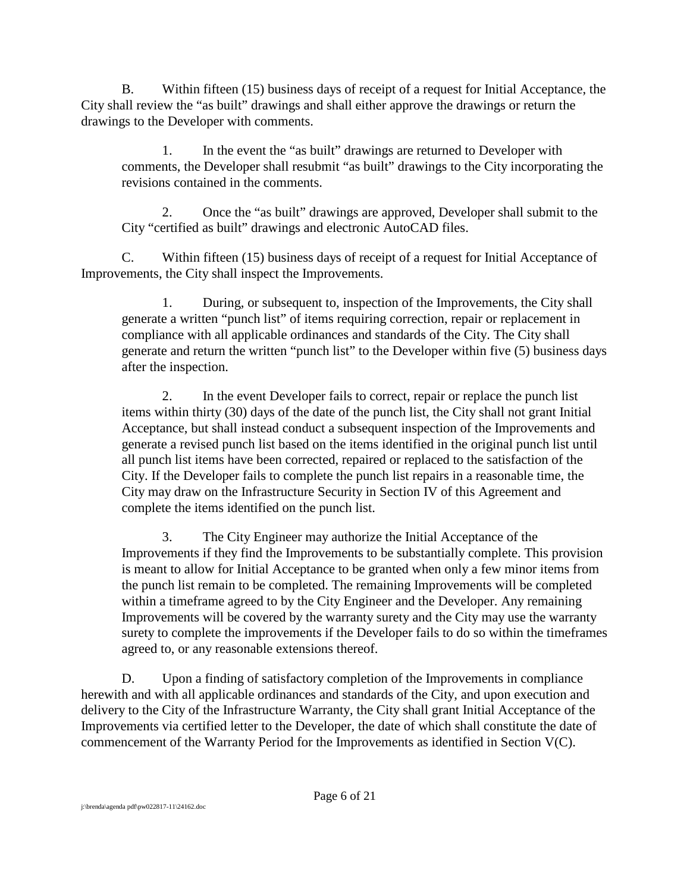B. Within fifteen (15) business days of receipt of a request for Initial Acceptance, the City shall review the "as built" drawings and shall either approve the drawings or return the drawings to the Developer with comments.

1. In the event the "as built" drawings are returned to Developer with comments, the Developer shall resubmit "as built" drawings to the City incorporating the revisions contained in the comments.

2. Once the "as built" drawings are approved, Developer shall submit to the City "certified as built" drawings and electronic AutoCAD files.

C. Within fifteen (15) business days of receipt of a request for Initial Acceptance of Improvements, the City shall inspect the Improvements.

1. During, or subsequent to, inspection of the Improvements, the City shall generate a written "punch list" of items requiring correction, repair or replacement in compliance with all applicable ordinances and standards of the City. The City shall generate and return the written "punch list" to the Developer within five (5) business days after the inspection.

2. In the event Developer fails to correct, repair or replace the punch list items within thirty (30) days of the date of the punch list, the City shall not grant Initial Acceptance, but shall instead conduct a subsequent inspection of the Improvements and generate a revised punch list based on the items identified in the original punch list until all punch list items have been corrected, repaired or replaced to the satisfaction of the City. If the Developer fails to complete the punch list repairs in a reasonable time, the City may draw on the Infrastructure Security in Section IV of this Agreement and complete the items identified on the punch list.

3. The City Engineer may authorize the Initial Acceptance of the Improvements if they find the Improvements to be substantially complete. This provision is meant to allow for Initial Acceptance to be granted when only a few minor items from the punch list remain to be completed. The remaining Improvements will be completed within a timeframe agreed to by the City Engineer and the Developer. Any remaining Improvements will be covered by the warranty surety and the City may use the warranty surety to complete the improvements if the Developer fails to do so within the timeframes agreed to, or any reasonable extensions thereof.

D. Upon a finding of satisfactory completion of the Improvements in compliance herewith and with all applicable ordinances and standards of the City, and upon execution and delivery to the City of the Infrastructure Warranty, the City shall grant Initial Acceptance of the Improvements via certified letter to the Developer, the date of which shall constitute the date of commencement of the Warranty Period for the Improvements as identified in Section V(C).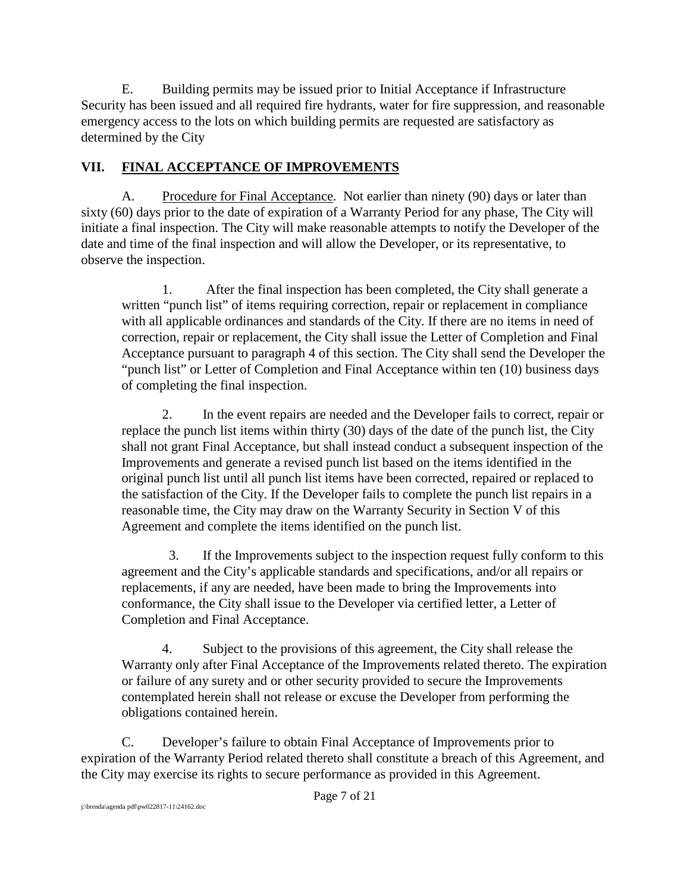E. Building permits may be issued prior to Initial Acceptance if Infrastructure Security has been issued and all required fire hydrants, water for fire suppression, and reasonable emergency access to the lots on which building permits are requested are satisfactory as determined by the City

## **VII. FINAL ACCEPTANCE OF IMPROVEMENTS**

A. Procedure for Final Acceptance. Not earlier than ninety (90) days or later than sixty (60) days prior to the date of expiration of a Warranty Period for any phase, The City will initiate a final inspection. The City will make reasonable attempts to notify the Developer of the date and time of the final inspection and will allow the Developer, or its representative, to observe the inspection.

1. After the final inspection has been completed, the City shall generate a written "punch list" of items requiring correction, repair or replacement in compliance with all applicable ordinances and standards of the City. If there are no items in need of correction, repair or replacement, the City shall issue the Letter of Completion and Final Acceptance pursuant to paragraph 4 of this section. The City shall send the Developer the "punch list" or Letter of Completion and Final Acceptance within ten (10) business days of completing the final inspection.

2. In the event repairs are needed and the Developer fails to correct, repair or replace the punch list items within thirty (30) days of the date of the punch list, the City shall not grant Final Acceptance, but shall instead conduct a subsequent inspection of the Improvements and generate a revised punch list based on the items identified in the original punch list until all punch list items have been corrected, repaired or replaced to the satisfaction of the City. If the Developer fails to complete the punch list repairs in a reasonable time, the City may draw on the Warranty Security in Section V of this Agreement and complete the items identified on the punch list.

 3. If the Improvements subject to the inspection request fully conform to this agreement and the City's applicable standards and specifications, and/or all repairs or replacements, if any are needed, have been made to bring the Improvements into conformance, the City shall issue to the Developer via certified letter, a Letter of Completion and Final Acceptance.

4. Subject to the provisions of this agreement, the City shall release the Warranty only after Final Acceptance of the Improvements related thereto. The expiration or failure of any surety and or other security provided to secure the Improvements contemplated herein shall not release or excuse the Developer from performing the obligations contained herein.

C. Developer's failure to obtain Final Acceptance of Improvements prior to expiration of the Warranty Period related thereto shall constitute a breach of this Agreement, and the City may exercise its rights to secure performance as provided in this Agreement.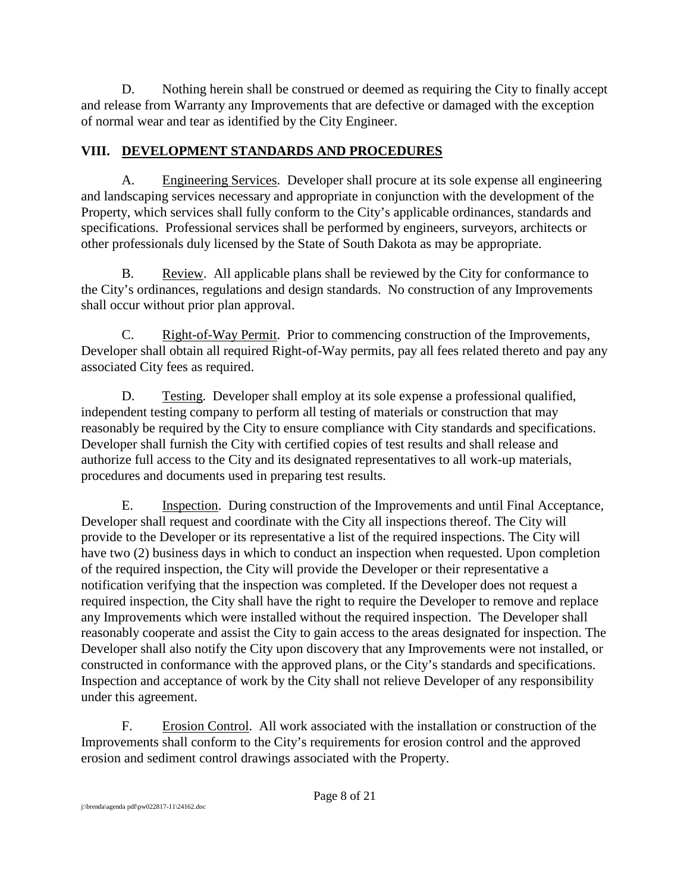D. Nothing herein shall be construed or deemed as requiring the City to finally accept and release from Warranty any Improvements that are defective or damaged with the exception of normal wear and tear as identified by the City Engineer.

## **VIII. DEVELOPMENT STANDARDS AND PROCEDURES**

A. Engineering Services. Developer shall procure at its sole expense all engineering and landscaping services necessary and appropriate in conjunction with the development of the Property, which services shall fully conform to the City's applicable ordinances, standards and specifications. Professional services shall be performed by engineers, surveyors, architects or other professionals duly licensed by the State of South Dakota as may be appropriate.

B. Review. All applicable plans shall be reviewed by the City for conformance to the City's ordinances, regulations and design standards. No construction of any Improvements shall occur without prior plan approval.

C. Right-of-Way Permit. Prior to commencing construction of the Improvements, Developer shall obtain all required Right-of-Way permits, pay all fees related thereto and pay any associated City fees as required.

D. Testing. Developer shall employ at its sole expense a professional qualified, independent testing company to perform all testing of materials or construction that may reasonably be required by the City to ensure compliance with City standards and specifications. Developer shall furnish the City with certified copies of test results and shall release and authorize full access to the City and its designated representatives to all work-up materials, procedures and documents used in preparing test results.

E. Inspection. During construction of the Improvements and until Final Acceptance, Developer shall request and coordinate with the City all inspections thereof. The City will provide to the Developer or its representative a list of the required inspections. The City will have two (2) business days in which to conduct an inspection when requested. Upon completion of the required inspection, the City will provide the Developer or their representative a notification verifying that the inspection was completed. If the Developer does not request a required inspection, the City shall have the right to require the Developer to remove and replace any Improvements which were installed without the required inspection. The Developer shall reasonably cooperate and assist the City to gain access to the areas designated for inspection. The Developer shall also notify the City upon discovery that any Improvements were not installed, or constructed in conformance with the approved plans, or the City's standards and specifications. Inspection and acceptance of work by the City shall not relieve Developer of any responsibility under this agreement.

F. Erosion Control. All work associated with the installation or construction of the Improvements shall conform to the City's requirements for erosion control and the approved erosion and sediment control drawings associated with the Property.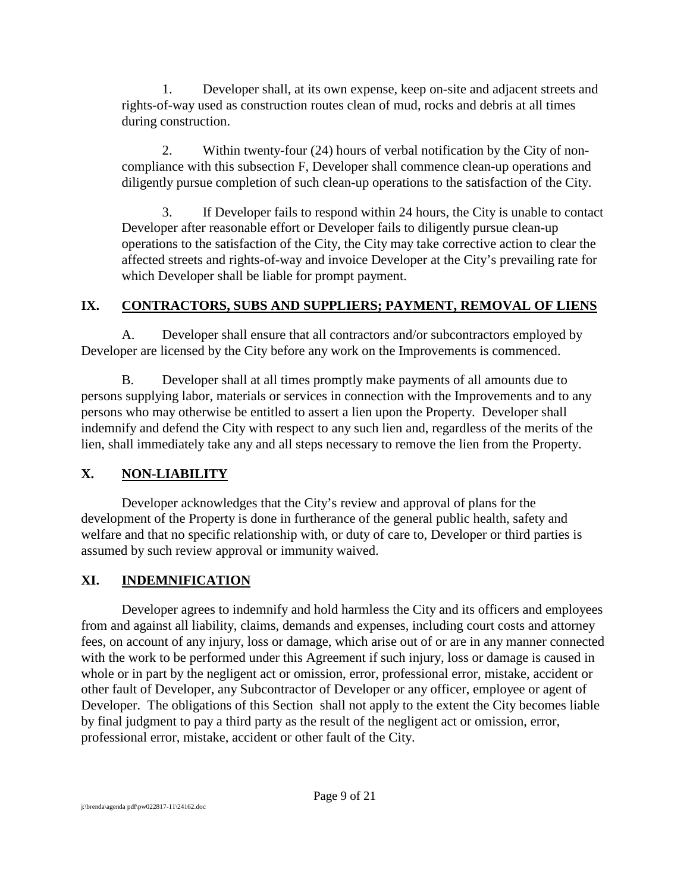1. Developer shall, at its own expense, keep on-site and adjacent streets and rights-of-way used as construction routes clean of mud, rocks and debris at all times during construction.

2. Within twenty-four (24) hours of verbal notification by the City of noncompliance with this subsection F, Developer shall commence clean-up operations and diligently pursue completion of such clean-up operations to the satisfaction of the City.

3. If Developer fails to respond within 24 hours, the City is unable to contact Developer after reasonable effort or Developer fails to diligently pursue clean-up operations to the satisfaction of the City, the City may take corrective action to clear the affected streets and rights-of-way and invoice Developer at the City's prevailing rate for which Developer shall be liable for prompt payment.

### **IX. CONTRACTORS, SUBS AND SUPPLIERS; PAYMENT, REMOVAL OF LIENS**

A. Developer shall ensure that all contractors and/or subcontractors employed by Developer are licensed by the City before any work on the Improvements is commenced.

B. Developer shall at all times promptly make payments of all amounts due to persons supplying labor, materials or services in connection with the Improvements and to any persons who may otherwise be entitled to assert a lien upon the Property. Developer shall indemnify and defend the City with respect to any such lien and, regardless of the merits of the lien, shall immediately take any and all steps necessary to remove the lien from the Property.

# **X. NON-LIABILITY**

Developer acknowledges that the City's review and approval of plans for the development of the Property is done in furtherance of the general public health, safety and welfare and that no specific relationship with, or duty of care to, Developer or third parties is assumed by such review approval or immunity waived.

# **XI. INDEMNIFICATION**

Developer agrees to indemnify and hold harmless the City and its officers and employees from and against all liability, claims, demands and expenses, including court costs and attorney fees, on account of any injury, loss or damage, which arise out of or are in any manner connected with the work to be performed under this Agreement if such injury, loss or damage is caused in whole or in part by the negligent act or omission, error, professional error, mistake, accident or other fault of Developer, any Subcontractor of Developer or any officer, employee or agent of Developer. The obligations of this Section shall not apply to the extent the City becomes liable by final judgment to pay a third party as the result of the negligent act or omission, error, professional error, mistake, accident or other fault of the City.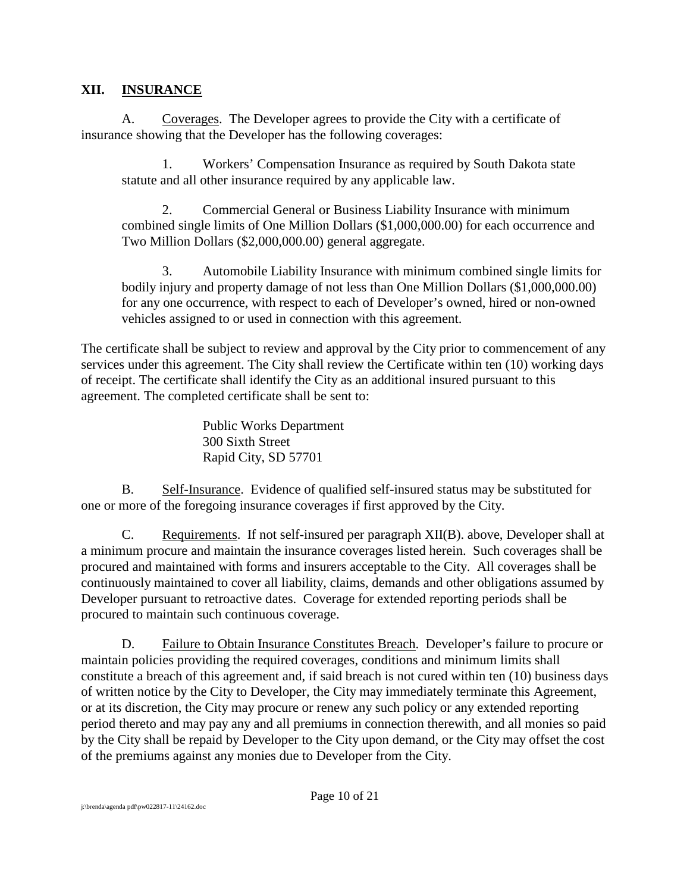#### **XII. INSURANCE**

A. Coverages. The Developer agrees to provide the City with a certificate of insurance showing that the Developer has the following coverages:

1. Workers' Compensation Insurance as required by South Dakota state statute and all other insurance required by any applicable law.

2. Commercial General or Business Liability Insurance with minimum combined single limits of One Million Dollars (\$1,000,000.00) for each occurrence and Two Million Dollars (\$2,000,000.00) general aggregate.

3. Automobile Liability Insurance with minimum combined single limits for bodily injury and property damage of not less than One Million Dollars (\$1,000,000.00) for any one occurrence, with respect to each of Developer's owned, hired or non-owned vehicles assigned to or used in connection with this agreement.

The certificate shall be subject to review and approval by the City prior to commencement of any services under this agreement. The City shall review the Certificate within ten (10) working days of receipt. The certificate shall identify the City as an additional insured pursuant to this agreement. The completed certificate shall be sent to:

> Public Works Department 300 Sixth Street Rapid City, SD 57701

B. Self-Insurance. Evidence of qualified self-insured status may be substituted for one or more of the foregoing insurance coverages if first approved by the City.

C. Requirements. If not self-insured per paragraph XII(B). above, Developer shall at a minimum procure and maintain the insurance coverages listed herein. Such coverages shall be procured and maintained with forms and insurers acceptable to the City. All coverages shall be continuously maintained to cover all liability, claims, demands and other obligations assumed by Developer pursuant to retroactive dates. Coverage for extended reporting periods shall be procured to maintain such continuous coverage.

D. Failure to Obtain Insurance Constitutes Breach. Developer's failure to procure or maintain policies providing the required coverages, conditions and minimum limits shall constitute a breach of this agreement and, if said breach is not cured within ten (10) business days of written notice by the City to Developer, the City may immediately terminate this Agreement, or at its discretion, the City may procure or renew any such policy or any extended reporting period thereto and may pay any and all premiums in connection therewith, and all monies so paid by the City shall be repaid by Developer to the City upon demand, or the City may offset the cost of the premiums against any monies due to Developer from the City.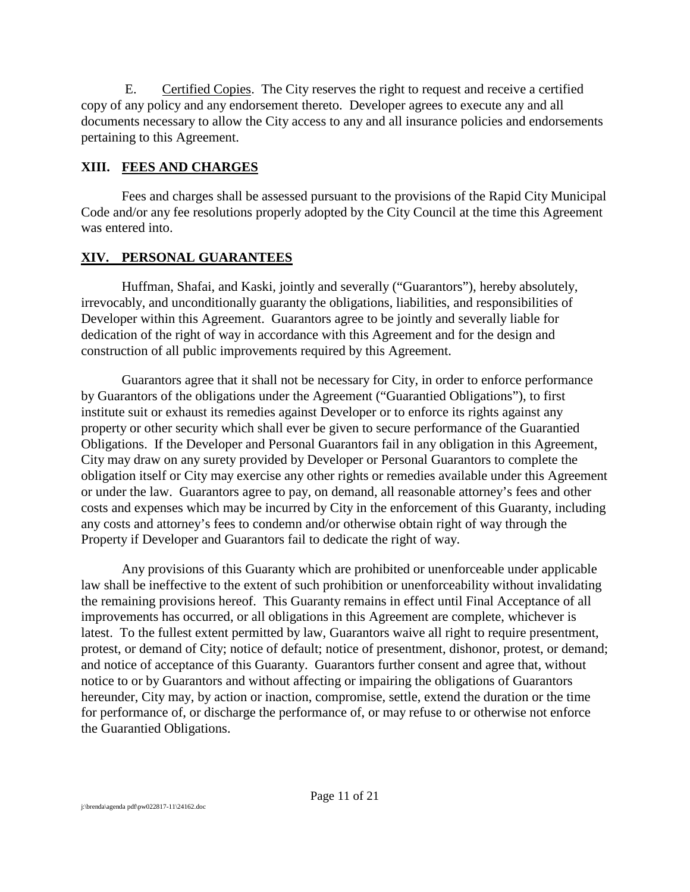E. Certified Copies. The City reserves the right to request and receive a certified copy of any policy and any endorsement thereto. Developer agrees to execute any and all documents necessary to allow the City access to any and all insurance policies and endorsements pertaining to this Agreement.

#### **XIII. FEES AND CHARGES**

Fees and charges shall be assessed pursuant to the provisions of the Rapid City Municipal Code and/or any fee resolutions properly adopted by the City Council at the time this Agreement was entered into.

### **XIV. PERSONAL GUARANTEES**

Huffman, Shafai, and Kaski, jointly and severally ("Guarantors"), hereby absolutely, irrevocably, and unconditionally guaranty the obligations, liabilities, and responsibilities of Developer within this Agreement. Guarantors agree to be jointly and severally liable for dedication of the right of way in accordance with this Agreement and for the design and construction of all public improvements required by this Agreement.

Guarantors agree that it shall not be necessary for City, in order to enforce performance by Guarantors of the obligations under the Agreement ("Guarantied Obligations"), to first institute suit or exhaust its remedies against Developer or to enforce its rights against any property or other security which shall ever be given to secure performance of the Guarantied Obligations. If the Developer and Personal Guarantors fail in any obligation in this Agreement, City may draw on any surety provided by Developer or Personal Guarantors to complete the obligation itself or City may exercise any other rights or remedies available under this Agreement or under the law. Guarantors agree to pay, on demand, all reasonable attorney's fees and other costs and expenses which may be incurred by City in the enforcement of this Guaranty, including any costs and attorney's fees to condemn and/or otherwise obtain right of way through the Property if Developer and Guarantors fail to dedicate the right of way.

Any provisions of this Guaranty which are prohibited or unenforceable under applicable law shall be ineffective to the extent of such prohibition or unenforceability without invalidating the remaining provisions hereof. This Guaranty remains in effect until Final Acceptance of all improvements has occurred, or all obligations in this Agreement are complete, whichever is latest. To the fullest extent permitted by law, Guarantors waive all right to require presentment, protest, or demand of City; notice of default; notice of presentment, dishonor, protest, or demand; and notice of acceptance of this Guaranty. Guarantors further consent and agree that, without notice to or by Guarantors and without affecting or impairing the obligations of Guarantors hereunder, City may, by action or inaction, compromise, settle, extend the duration or the time for performance of, or discharge the performance of, or may refuse to or otherwise not enforce the Guarantied Obligations.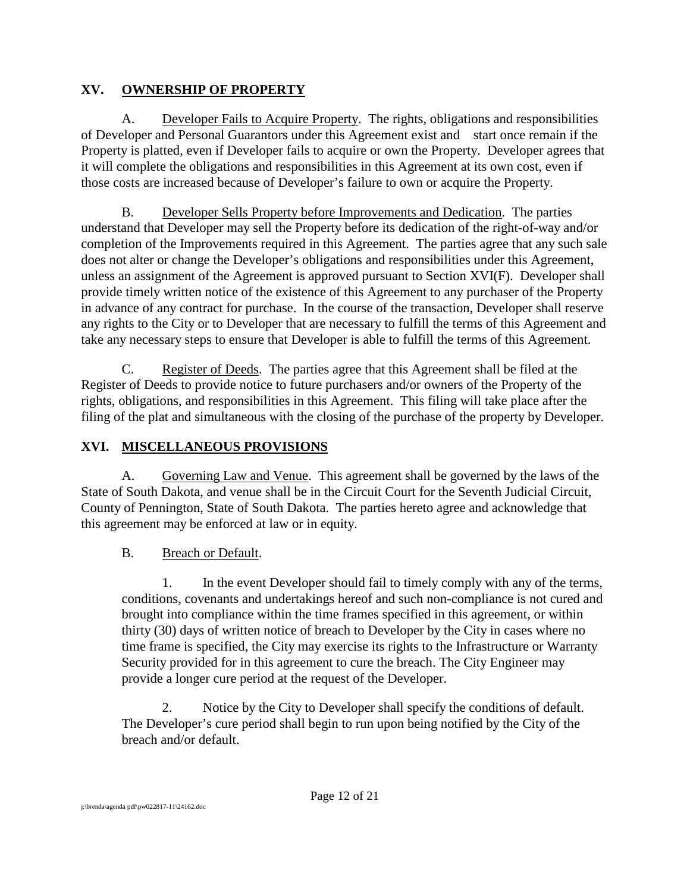## **XV. OWNERSHIP OF PROPERTY**

A. Developer Fails to Acquire Property. The rights, obligations and responsibilities of Developer and Personal Guarantors under this Agreement exist and start once remain if the Property is platted, even if Developer fails to acquire or own the Property. Developer agrees that it will complete the obligations and responsibilities in this Agreement at its own cost, even if those costs are increased because of Developer's failure to own or acquire the Property.

B. Developer Sells Property before Improvements and Dedication. The parties understand that Developer may sell the Property before its dedication of the right-of-way and/or completion of the Improvements required in this Agreement. The parties agree that any such sale does not alter or change the Developer's obligations and responsibilities under this Agreement, unless an assignment of the Agreement is approved pursuant to Section XVI(F). Developer shall provide timely written notice of the existence of this Agreement to any purchaser of the Property in advance of any contract for purchase. In the course of the transaction, Developer shall reserve any rights to the City or to Developer that are necessary to fulfill the terms of this Agreement and take any necessary steps to ensure that Developer is able to fulfill the terms of this Agreement.

C. Register of Deeds. The parties agree that this Agreement shall be filed at the Register of Deeds to provide notice to future purchasers and/or owners of the Property of the rights, obligations, and responsibilities in this Agreement. This filing will take place after the filing of the plat and simultaneous with the closing of the purchase of the property by Developer.

# **XVI. MISCELLANEOUS PROVISIONS**

A. Governing Law and Venue. This agreement shall be governed by the laws of the State of South Dakota, and venue shall be in the Circuit Court for the Seventh Judicial Circuit, County of Pennington, State of South Dakota. The parties hereto agree and acknowledge that this agreement may be enforced at law or in equity.

# B. Breach or Default.

1. In the event Developer should fail to timely comply with any of the terms, conditions, covenants and undertakings hereof and such non-compliance is not cured and brought into compliance within the time frames specified in this agreement, or within thirty (30) days of written notice of breach to Developer by the City in cases where no time frame is specified, the City may exercise its rights to the Infrastructure or Warranty Security provided for in this agreement to cure the breach. The City Engineer may provide a longer cure period at the request of the Developer.

2. Notice by the City to Developer shall specify the conditions of default. The Developer's cure period shall begin to run upon being notified by the City of the breach and/or default.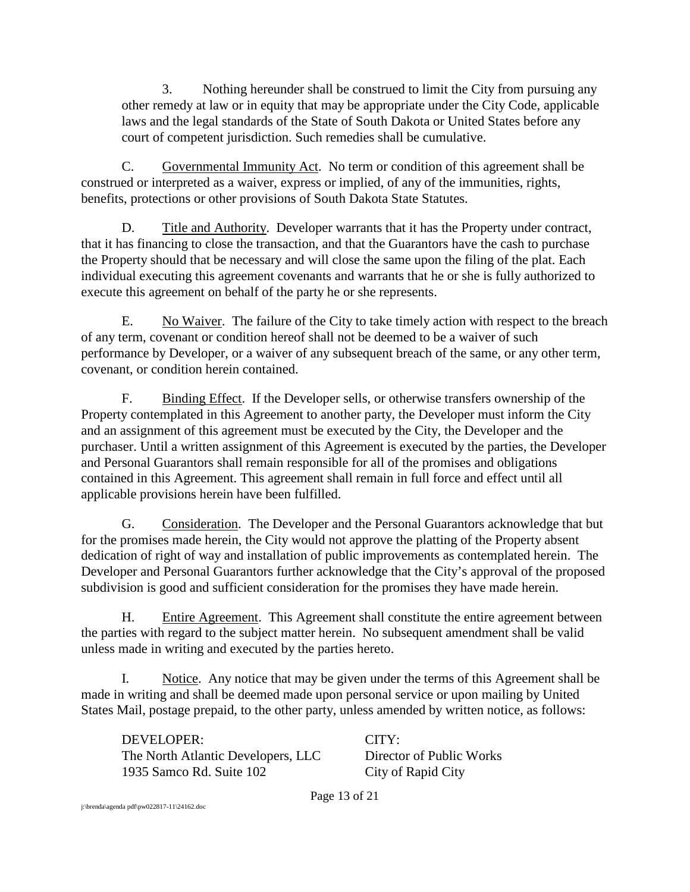3. Nothing hereunder shall be construed to limit the City from pursuing any other remedy at law or in equity that may be appropriate under the City Code, applicable laws and the legal standards of the State of South Dakota or United States before any court of competent jurisdiction. Such remedies shall be cumulative.

C. Governmental Immunity Act. No term or condition of this agreement shall be construed or interpreted as a waiver, express or implied, of any of the immunities, rights, benefits, protections or other provisions of South Dakota State Statutes.

D. Title and Authority. Developer warrants that it has the Property under contract, that it has financing to close the transaction, and that the Guarantors have the cash to purchase the Property should that be necessary and will close the same upon the filing of the plat. Each individual executing this agreement covenants and warrants that he or she is fully authorized to execute this agreement on behalf of the party he or she represents.

E. No Waiver. The failure of the City to take timely action with respect to the breach of any term, covenant or condition hereof shall not be deemed to be a waiver of such performance by Developer, or a waiver of any subsequent breach of the same, or any other term, covenant, or condition herein contained.

F. Binding Effect. If the Developer sells, or otherwise transfers ownership of the Property contemplated in this Agreement to another party, the Developer must inform the City and an assignment of this agreement must be executed by the City, the Developer and the purchaser. Until a written assignment of this Agreement is executed by the parties, the Developer and Personal Guarantors shall remain responsible for all of the promises and obligations contained in this Agreement. This agreement shall remain in full force and effect until all applicable provisions herein have been fulfilled.

G. Consideration. The Developer and the Personal Guarantors acknowledge that but for the promises made herein, the City would not approve the platting of the Property absent dedication of right of way and installation of public improvements as contemplated herein. The Developer and Personal Guarantors further acknowledge that the City's approval of the proposed subdivision is good and sufficient consideration for the promises they have made herein.

H. Entire Agreement. This Agreement shall constitute the entire agreement between the parties with regard to the subject matter herein. No subsequent amendment shall be valid unless made in writing and executed by the parties hereto.

I. Notice. Any notice that may be given under the terms of this Agreement shall be made in writing and shall be deemed made upon personal service or upon mailing by United States Mail, postage prepaid, to the other party, unless amended by written notice, as follows:

DEVELOPER: CITY: The North Atlantic Developers, LLC Director of Public Works 1935 Samco Rd. Suite 102 City of Rapid City

Page 13 of 21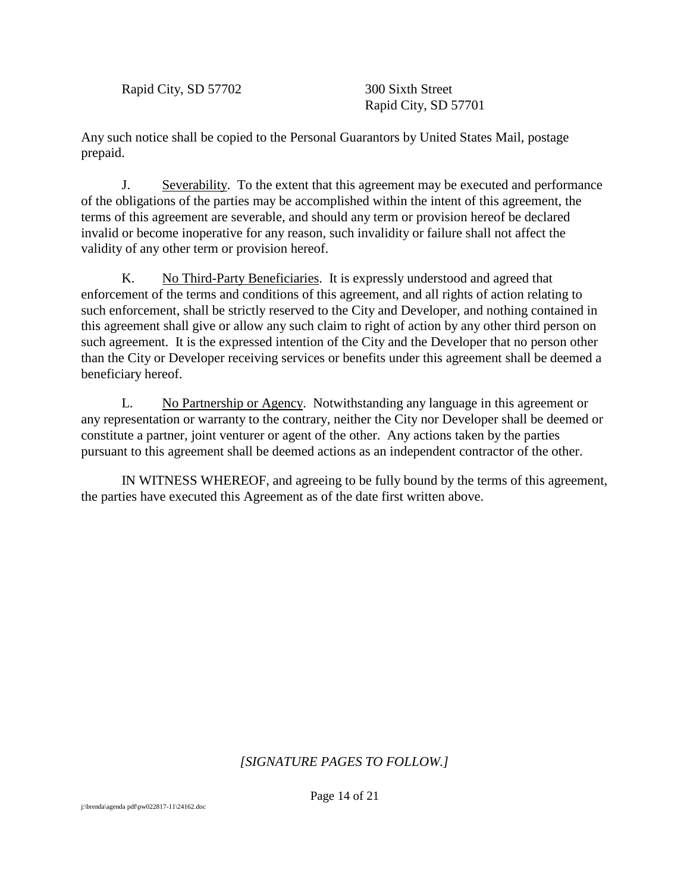Rapid City, SD 57702 300 Sixth Street

Rapid City, SD 57701

Any such notice shall be copied to the Personal Guarantors by United States Mail, postage prepaid.

J. Severability. To the extent that this agreement may be executed and performance of the obligations of the parties may be accomplished within the intent of this agreement, the terms of this agreement are severable, and should any term or provision hereof be declared invalid or become inoperative for any reason, such invalidity or failure shall not affect the validity of any other term or provision hereof.

K. No Third-Party Beneficiaries. It is expressly understood and agreed that enforcement of the terms and conditions of this agreement, and all rights of action relating to such enforcement, shall be strictly reserved to the City and Developer, and nothing contained in this agreement shall give or allow any such claim to right of action by any other third person on such agreement. It is the expressed intention of the City and the Developer that no person other than the City or Developer receiving services or benefits under this agreement shall be deemed a beneficiary hereof.

L. No Partnership or Agency. Notwithstanding any language in this agreement or any representation or warranty to the contrary, neither the City nor Developer shall be deemed or constitute a partner, joint venturer or agent of the other. Any actions taken by the parties pursuant to this agreement shall be deemed actions as an independent contractor of the other.

IN WITNESS WHEREOF, and agreeing to be fully bound by the terms of this agreement, the parties have executed this Agreement as of the date first written above.

### *[SIGNATURE PAGES TO FOLLOW.]*

Page 14 of 21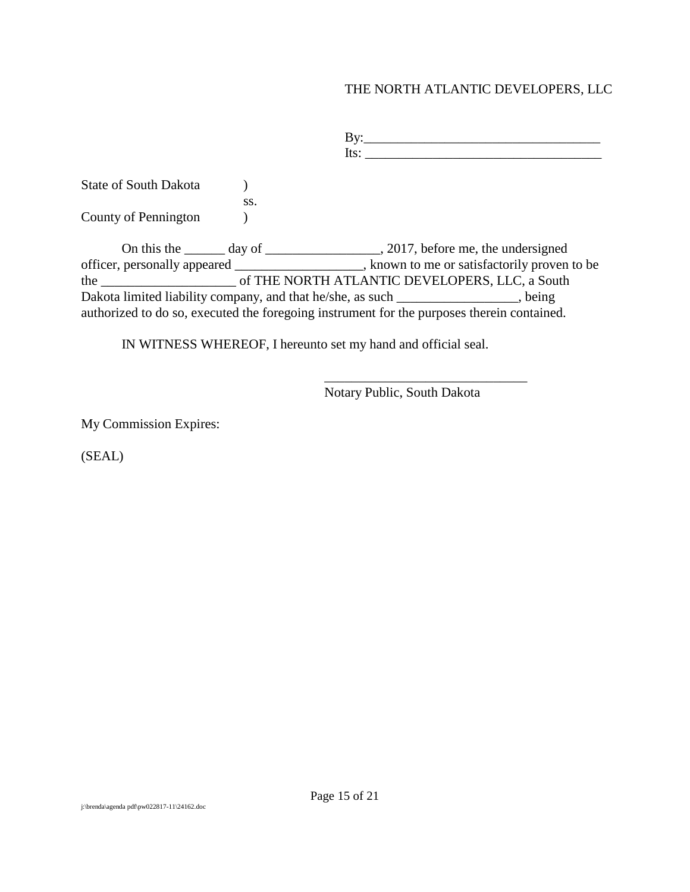#### THE NORTH ATLANTIC DEVELOPERS, LLC

By:\_\_\_\_\_\_\_\_\_\_\_\_\_\_\_\_\_\_\_\_\_\_\_\_\_\_\_\_\_\_\_\_\_\_\_ Its:  $\Box$ State of South Dakota (b) ss. County of Pennington ) On this the \_\_\_\_\_\_ day of \_\_\_\_\_\_\_\_\_\_\_\_\_\_\_\_\_, 2017, before me, the undersigned officer, personally appeared \_\_\_\_\_\_\_\_\_\_\_\_\_\_\_\_\_\_\_, known to me or satisfactorily proven to be the \_\_\_\_\_\_\_\_\_\_\_\_\_\_\_\_\_\_\_\_ of THE NORTH ATLANTIC DEVELOPERS, LLC, a South Dakota limited liability company, and that he/she, as such \_\_\_\_\_\_\_\_\_\_\_\_\_\_\_\_\_, being authorized to do so, executed the foregoing instrument for the purposes therein contained.

IN WITNESS WHEREOF, I hereunto set my hand and official seal.

Notary Public, South Dakota

\_\_\_\_\_\_\_\_\_\_\_\_\_\_\_\_\_\_\_\_\_\_\_\_\_\_\_\_\_\_

My Commission Expires:

(SEAL)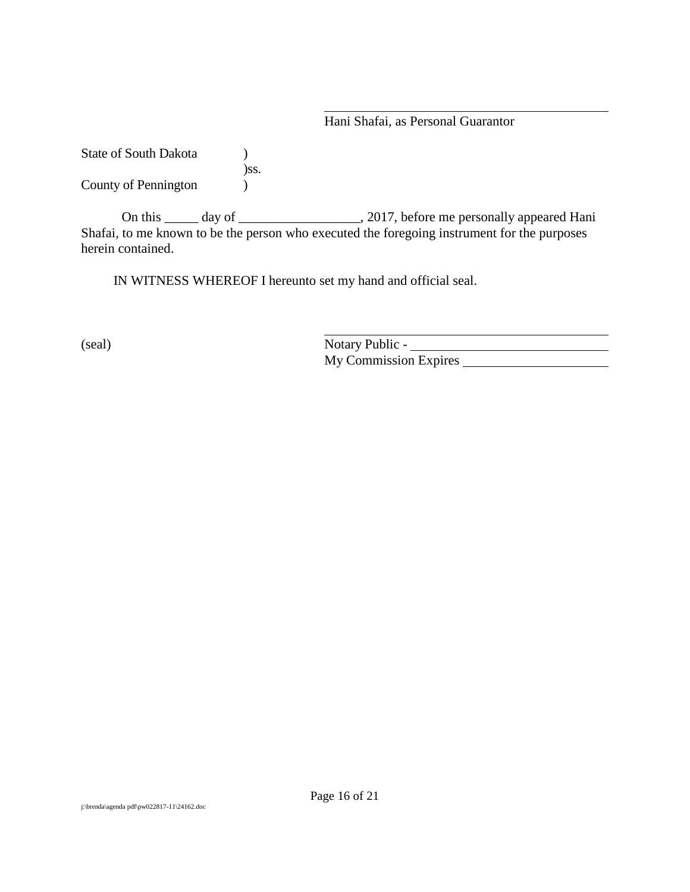Hani Shafai, as Personal Guarantor

State of South Dakota (1) )ss. County of Pennington )

On this \_\_\_\_\_ day of \_\_\_\_\_\_\_\_\_\_\_\_\_\_\_\_\_, 2017, before me personally appeared Hani Shafai, to me known to be the person who executed the foregoing instrument for the purposes herein contained.

IN WITNESS WHEREOF I hereunto set my hand and official seal.

(seal) Notary Public -My Commission Expires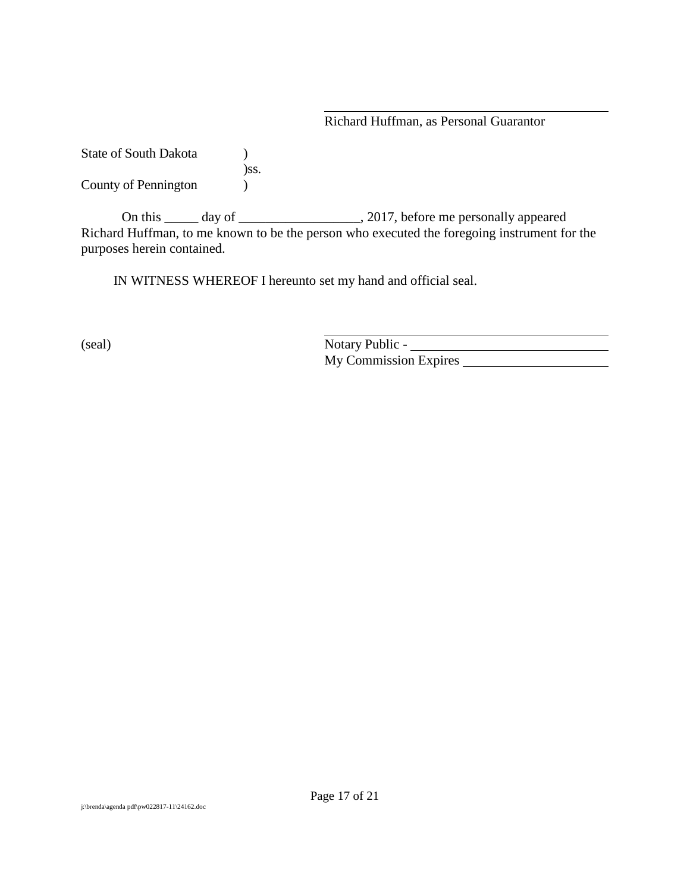#### Richard Huffman, as Personal Guarantor

State of South Dakota (1) )ss. County of Pennington )

On this \_\_\_\_\_ day of \_\_\_\_\_\_\_\_\_\_\_\_\_\_\_\_\_\_, 2017, before me personally appeared Richard Huffman, to me known to be the person who executed the foregoing instrument for the purposes herein contained.

IN WITNESS WHEREOF I hereunto set my hand and official seal.

(seal) Notary Public - Notary Public - Notary Public - Notary Public - Notary Public - Notary Public - Notary Public - Notary Public - Notary Public - Notary Public - Notary Public - Notary Public - Notary Public - Notary My Commission Expires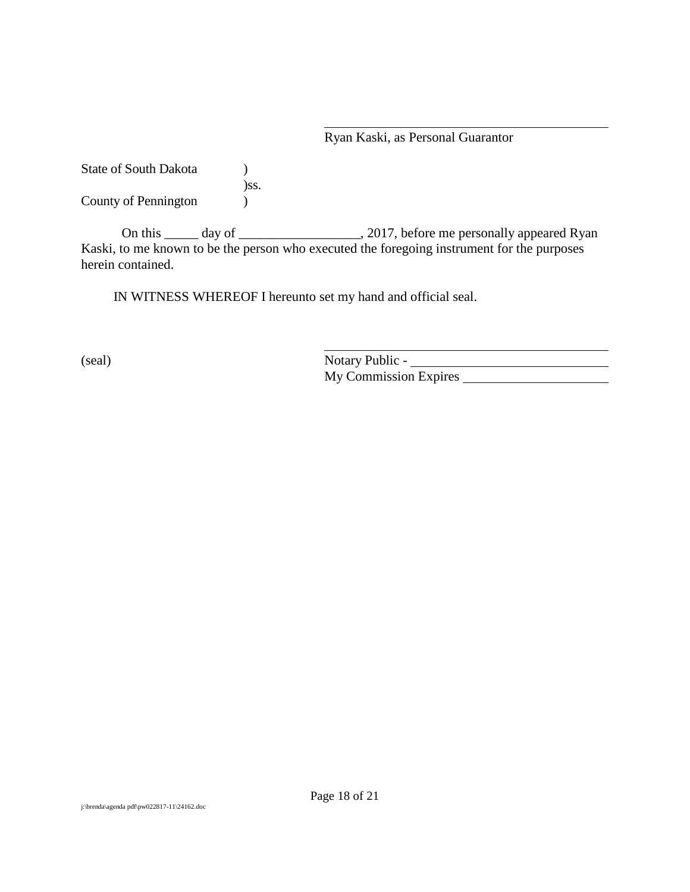#### Ryan Kaski, as Personal Guarantor

State of South Dakota (b) )ss. County of Pennington (1)

On this \_\_\_\_\_ day of \_\_\_\_\_\_\_\_\_\_\_\_\_\_\_\_\_, 2017, before me personally appeared Ryan Kaski, to me known to be the person who executed the foregoing instrument for the purposes herein contained.

IN WITNESS WHEREOF I hereunto set my hand and official seal.

(seal) Notary Public -My Commission Expires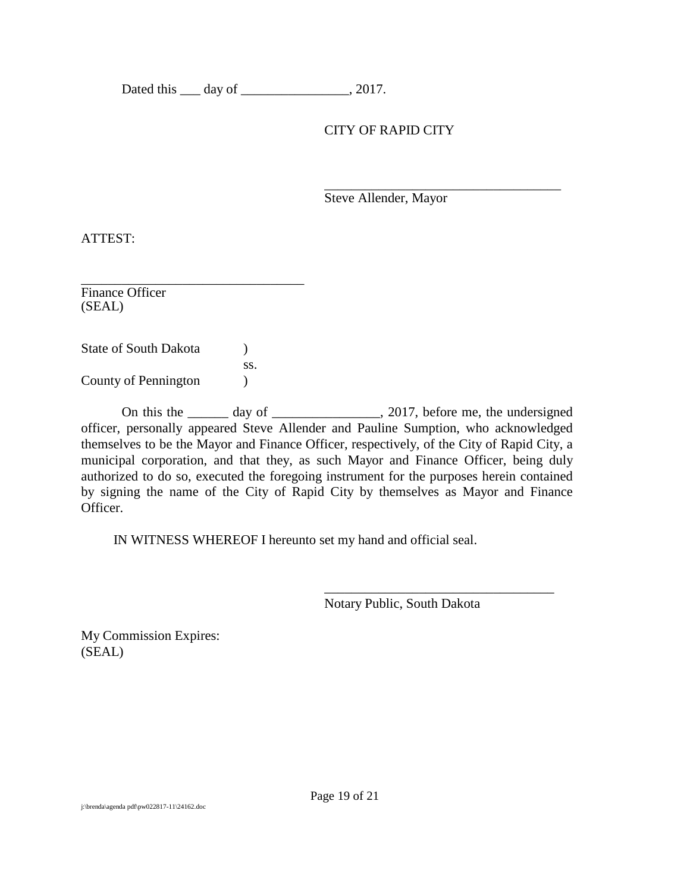Dated this <u>quare day of  $\frac{1}{2}$ </u>, 2017.

#### CITY OF RAPID CITY

\_\_\_\_\_\_\_\_\_\_\_\_\_\_\_\_\_\_\_\_\_\_\_\_\_\_\_\_\_\_\_\_\_\_\_ Steve Allender, Mayor

ATTEST:

\_\_\_\_\_\_\_\_\_\_\_\_\_\_\_\_\_\_\_\_\_\_\_\_\_\_\_\_\_\_\_\_\_ Finance Officer (SEAL)

State of South Dakota (b) ss. County of Pennington (1)

On this the day of \_\_\_\_\_\_\_\_\_\_\_\_\_, 2017, before me, the undersigned officer, personally appeared Steve Allender and Pauline Sumption, who acknowledged themselves to be the Mayor and Finance Officer, respectively, of the City of Rapid City, a municipal corporation, and that they, as such Mayor and Finance Officer, being duly authorized to do so, executed the foregoing instrument for the purposes herein contained by signing the name of the City of Rapid City by themselves as Mayor and Finance Officer.

IN WITNESS WHEREOF I hereunto set my hand and official seal.

Notary Public, South Dakota

\_\_\_\_\_\_\_\_\_\_\_\_\_\_\_\_\_\_\_\_\_\_\_\_\_\_\_\_\_\_\_\_\_\_

My Commission Expires: (SEAL)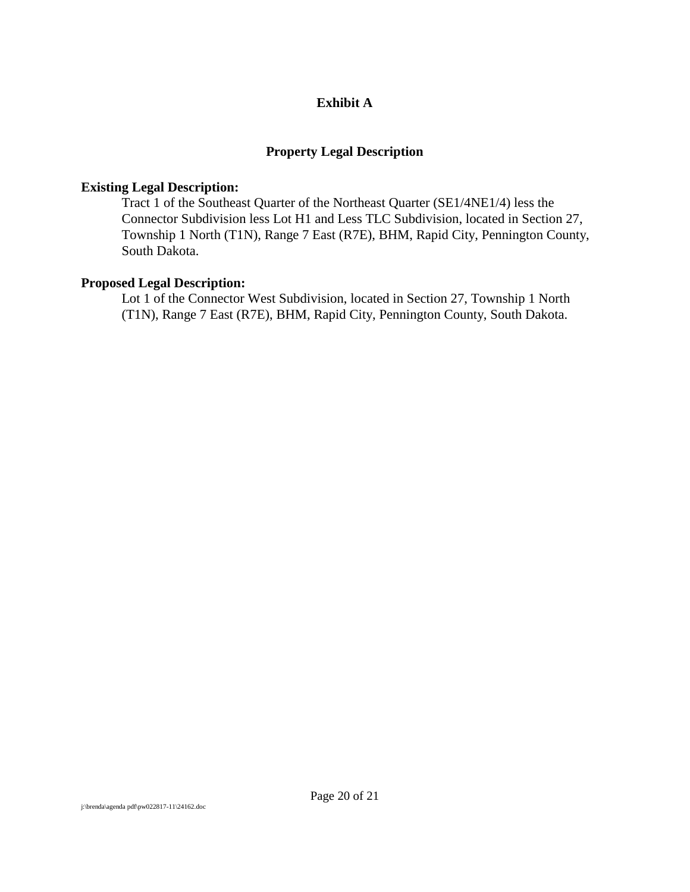#### **Exhibit A**

#### **Property Legal Description**

#### **Existing Legal Description:**

Tract 1 of the Southeast Quarter of the Northeast Quarter (SE1/4NE1/4) less the Connector Subdivision less Lot H1 and Less TLC Subdivision, located in Section 27, Township 1 North (T1N), Range 7 East (R7E), BHM, Rapid City, Pennington County, South Dakota.

#### **Proposed Legal Description:**

Lot 1 of the Connector West Subdivision, located in Section 27, Township 1 North (T1N), Range 7 East (R7E), BHM, Rapid City, Pennington County, South Dakota.